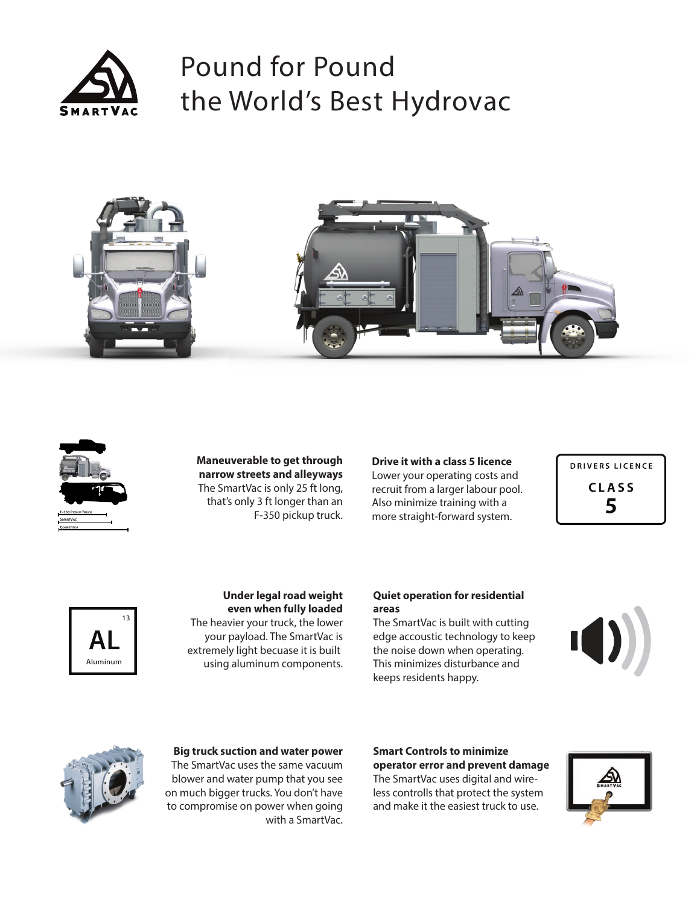

# Pound for Pound the World's Best Hydrovac







**Maneuverable to get through narrow streets and alleyways** The SmartVac is only 25 ft long, that's only 3 ft longer than an F-350 pickup truck.

**Drive it with a class 5 licence** Lower your operating costs and recruit from a larger labour pool. Also minimize training with a more straight-forward system.

**DRIVERS LICENCE CLASS** 5



#### **Under legal road weight even when fully loaded**

The heavier your truck, the lower your payload. The SmartVac is extremely light becuase it is built using aluminum components.

#### **Quiet operation for residential areas**

The SmartVac is built with cutting edge accoustic technology to keep the noise down when operating. This minimizes disturbance and keeps residents happy.





**Big truck suction and water power** The SmartVac uses the same vacuum blower and water pump that you see on much bigger trucks. You don't have to compromise on power when going with a SmartVac.

#### **Smart Controls to minimize operator error and prevent damage**

The SmartVac uses digital and wireless controlls that protect the system and make it the easiest truck to use.